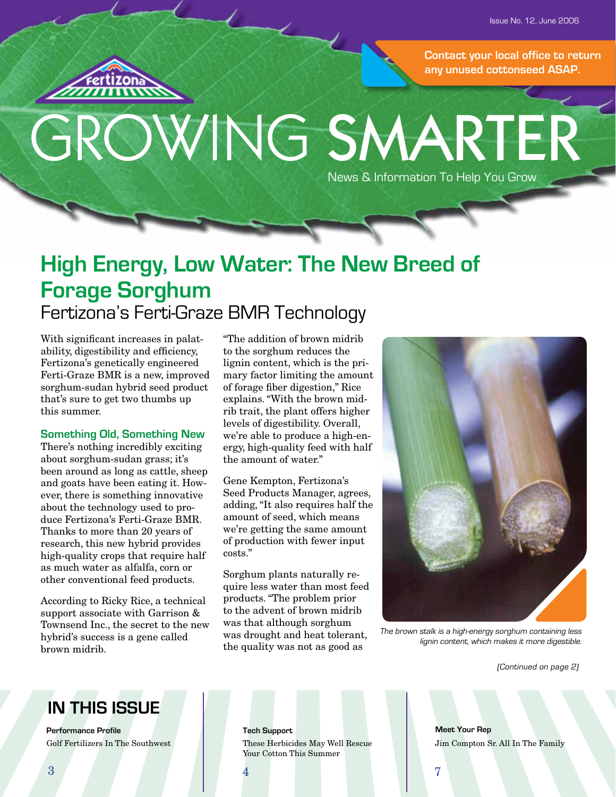**Contact your local office to return any unused cottonseed ASAP.**

# GROWING SMARTER News & Information To Help You Grow

# **High Energy, Low Water: The New Breed of Forage Sorghum** Fertizona's Ferti-Graze BMR Technology

With significant increases in palatability, digestibility and efficiency, Fertizona's genetically engineered Ferti-Graze BMR is a new, improved sorghum-sudan hybrid seed product that's sure to get two thumbs up this summer.

#### **Something Old, Something New**

There's nothing incredibly exciting about sorghum-sudan grass; it's been around as long as cattle, sheep and goats have been eating it. However, there is something innovative about the technology used to produce Fertizona's Ferti-Graze BMR. Thanks to more than 20 years of research, this new hybrid provides high-quality crops that require half as much water as alfalfa, corn or other conventional feed products.

According to Ricky Rice, a technical support associate with Garrison & Townsend Inc., the secret to the new hybrid's success is a gene called brown midrib.

"The addition of brown midrib to the sorghum reduces the lignin content, which is the primary factor limiting the amount of forage fiber digestion," Rice explains. "With the brown midrib trait, the plant offers higher levels of digestibility. Overall, we're able to produce a high-energy, high-quality feed with half the amount of water."

Gene Kempton, Fertizona's Seed Products Manager, agrees, adding, "It also requires half the amount of seed, which means we're getting the same amount of production with fewer input costs."

Sorghum plants naturally require less water than most feed products. "The problem prior to the advent of brown midrib was that although sorghum was drought and heat tolerant, the quality was not as good as



The brown stalk is a high-energy sorghum containing less lignin content, which makes it more digestible.

(Continued on page 2)

# **IN THIS ISSUE**

**Performance Profile Tech Support** Golf Fertilizers In The Southwest

These Herbicides May Well Rescue Your Cotton This Summer

**Meet Your Rep** Jim Compton Sr. All In The Family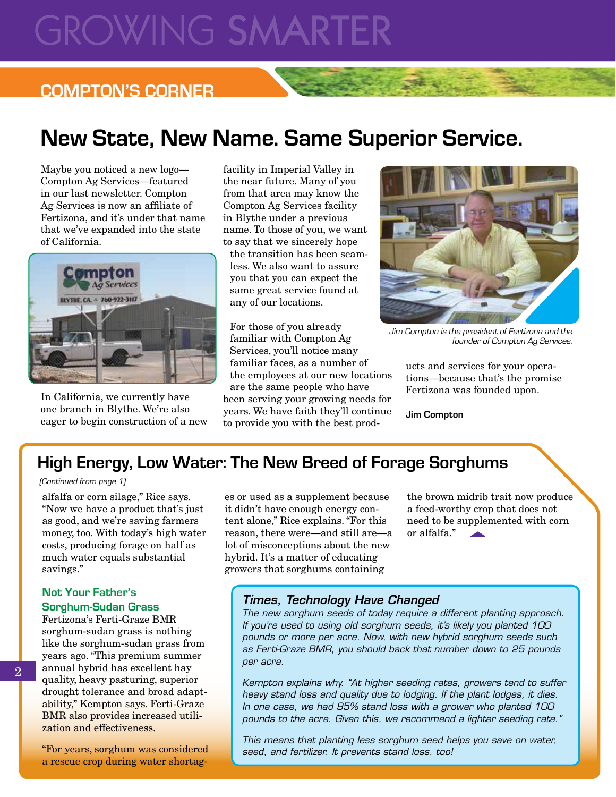# **GROWING SMARTE**

# **COMPTON'S CORNER**

# **New State, New Name. Same Superior Service.**

Maybe you noticed a new logo— Compton Ag Services—featured in our last newsletter. Compton Ag Services is now an affiliate of Fertizona, and it's under that name that we've expanded into the state of California.



In California, we currently have one branch in Blythe. We're also eager to begin construction of a new facility in Imperial Valley in the near future. Many of you from that area may know the Compton Ag Services facility in Blythe under a previous name. To those of you, we want to say that we sincerely hope

the transition has been seamless. We also want to assure you that you can expect the same great service found at any of our locations.

For those of you already familiar with Compton Ag Services, you'll notice many familiar faces, as a number of the employees at our new locations are the same people who have been serving your growing needs for years. We have faith they'll continue to provide you with the best prod-



Jim Compton is the president of Fertizona and the founder of Compton Ag Services.

ucts and services for your operations—because that's the promise Fertizona was founded upon.

**Jim Compton**

# **High Energy, Low Water: The New Breed of Forage Sorghums**

#### (Continued from page 1)

alfalfa or corn silage," Rice says. "Now we have a product that's just as good, and we're saving farmers money, too. With today's high water costs, producing forage on half as much water equals substantial savings."

#### **Not Your Father's Sorghum-Sudan Grass**

Fertizona's Ferti-Graze BMR sorghum-sudan grass is nothing like the sorghum-sudan grass from years ago. "This premium summer annual hybrid has excellent hay quality, heavy pasturing, superior drought tolerance and broad adaptability," Kempton says. Ferti-Graze BMR also provides increased utilization and effectiveness.

"For years, sorghum was considered a rescue crop during water shortages or used as a supplement because it didn't have enough energy content alone," Rice explains. "For this reason, there were—and still are—a lot of misconceptions about the new hybrid. It's a matter of educating growers that sorghums containing

the brown midrib trait now produce a feed-worthy crop that does not need to be supplemented with corn or alfalfa."

## *Times, Technology Have Changed*

*The new sorghum seeds of today require a different planting approach. If you're used to using old sorghum seeds, it's likely you planted 100 pounds or more per acre. Now, with new hybrid sorghum seeds such as Ferti-Graze BMR, you should back that number down to 25 pounds per acre.*

*Kempton explains why. "At higher seeding rates, growers tend to suffer heavy stand loss and quality due to lodging. If the plant lodges, it dies. In one case, we had 95% stand loss with a grower who planted 100 pounds to the acre. Given this, we recommend a lighter seeding rate."*

*This means that planting less sorghum seed helps you save on water, seed, and fertilizer. It prevents stand loss, too!*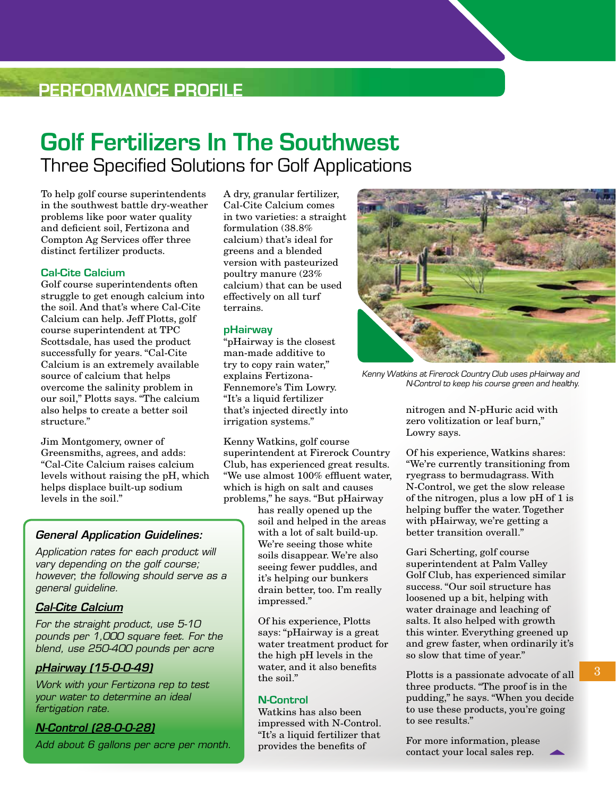# **PERFORMANCE PROFILE**

# **Golf Fertilizers In The Southwest** Three Specified Solutions for Golf Applications

To help golf course superintendents in the southwest battle dry-weather problems like poor water quality and deficient soil, Fertizona and Compton Ag Services offer three distinct fertilizer products.

#### **Cal-Cite Calcium**

Golf course superintendents often struggle to get enough calcium into the soil. And that's where Cal-Cite Calcium can help. Jeff Plotts, golf course superintendent at TPC Scottsdale, has used the product successfully for years. "Cal-Cite Calcium is an extremely available source of calcium that helps overcome the salinity problem in our soil," Plotts says. "The calcium also helps to create a better soil structure."

Jim Montgomery, owner of Greensmiths, agrees, and adds: "Cal-Cite Calcium raises calcium levels without raising the pH, which helps displace built-up sodium levels in the soil."

### *General Application Guidelines:*

*Application rates for each product will vary depending on the golf course; however, the following should serve as a general guideline.*

#### *Cal-Cite Calcium*

*For the straight product, use 5-10 pounds per 1,000 square feet. For the blend, use 250-400 pounds per acre*

### *pHairway (15-0-0-49)*

*Work with your Fertizona rep to test your water to determine an ideal fertigation rate.*

#### *N-Control (28-0-0-28)*

*Add about 6 gallons per acre per month.*

A dry, granular fertilizer, Cal-Cite Calcium comes in two varieties: a straight formulation (38.8% calcium) that's ideal for greens and a blended version with pasteurized poultry manure (23% calcium) that can be used effectively on all turf terrains.

#### **pHairway**

"pHairway is the closest man-made additive to try to copy rain water," explains Fertizona-Fennemore's Tim Lowry. "It's a liquid fertilizer that's injected directly into irrigation systems."

Kenny Watkins, golf course superintendent at Firerock Country Club, has experienced great results. "We use almost 100% effluent water, which is high on salt and causes problems," he says. "But pHairway

has really opened up the soil and helped in the areas with a lot of salt build-up. We're seeing those white soils disappear. We're also seeing fewer puddles, and it's helping our bunkers drain better, too. I'm really impressed."

Of his experience, Plotts says: "pHairway is a great water treatment product for the high pH levels in the water, and it also benefits the soil."

#### **N-Control**

Watkins has also been impressed with N-Control. "It's a liquid fertilizer that provides the benefits of



Kenny Watkins at Firerock Country Club uses pHairway and N-Control to keep his course green and healthy.

nitrogen and N-pHuric acid with zero volitization or leaf burn," Lowry says.

Of his experience, Watkins shares: "We're currently transitioning from ryegrass to bermudagrass. With N-Control, we get the slow release of the nitrogen, plus a low pH of 1 is helping buffer the water. Together with pHairway, we're getting a better transition overall."

Gari Scherting, golf course superintendent at Palm Valley Golf Club, has experienced similar success. "Our soil structure has loosened up a bit, helping with water drainage and leaching of salts. It also helped with growth this winter. Everything greened up and grew faster, when ordinarily it's so slow that time of year."

Plotts is a passionate advocate of all three products. "The proof is in the pudding," he says. "When you decide to use these products, you're going to see results."

For more information, please contact your local sales rep.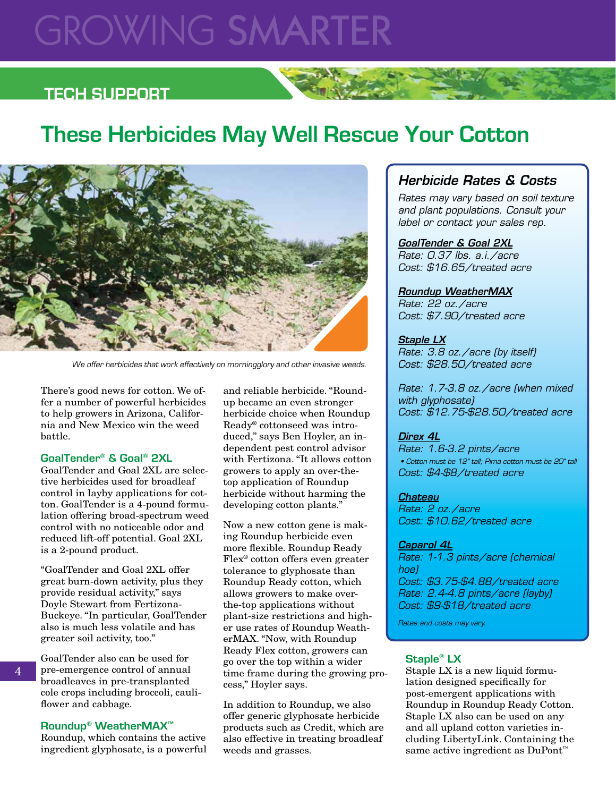# **GROWING SMARTER**

# **TECH SUPPORT**

# **These Herbicides May Well Rescue Your Cotton**



We offer herbicides that work effectively on morningglory and other invasive weeds.

There's good news for cotton. We offer a number of powerful herbicides to help growers in Arizona, California and New Mexico win the weed battle.

#### **GoalTender® & Goal® 2XL**

GoalTender and Goal 2XL are selective herbicides used for broadleaf control in layby applications for cotton. GoalTender is a 4-pound formulation offering broad-spectrum weed control with no noticeable odor and reduced lift-off potential. Goal 2XL is a 2-pound product.

"GoalTender and Goal 2XL offer great burn-down activity, plus they provide residual activity," says Doyle Stewart from Fertizona-Buckeye. "In particular, GoalTender also is much less volatile and has greater soil activity, too."

GoalTender also can be used for pre-emergence control of annual broadleaves in pre-transplanted cole crops including broccoli, cauliflower and cabbage.

#### **Roundup® WeatherMAX™**

Roundup, which contains the active ingredient glyphosate, is a powerful

and reliable herbicide. "Roundup became an even stronger herbicide choice when Roundup Ready® cottonseed was introduced," says Ben Hoyler, an independent pest control advisor with Fertizona. "It allows cotton growers to apply an over-thetop application of Roundup herbicide without harming the developing cotton plants."

Now a new cotton gene is making Roundup herbicide even more flexible. Roundup Ready Flex® cotton offers even greater tolerance to glyphosate than Roundup Ready cotton, which allows growers to make overthe-top applications without plant-size restrictions and higher use rates of Roundup WeatherMAX. "Now, with Roundup Ready Flex cotton, growers can go over the top within a wider time frame during the growing process," Hoyler says.

In addition to Roundup, we also offer generic glyphosate herbicide products such as Credit, which are also effective in treating broadleaf weeds and grasses.

## *Herbicide Rates & Costs*

*Rates may vary based on soil texture and plant populations. Consult your label or contact your sales rep.*

#### *GoalTender & Goal 2XL Rate: 0.37 lbs. a.i./acre*

*Cost: \$16.65/treated acre*

#### *Roundup WeatherMAX*

*Rate: 22 oz./acre Cost: \$7.90/treated acre*

#### *Staple LX*

*Rate: 3.8 oz./acre (by itself) Cost: \$28.50/treated acre*

*Rate: 1.7-3.8 oz./acre (when mixed with glyphosate) Cost: \$12.75-\$28.50/treated acre*

#### *Direx 4L*

*Rate: 1.6-3.2 pints/acre • Cotton must be 12" tall; Pima cotton must be 20" tall Cost: \$4-\$8/treated acre*

*Chateau Rate: 2 oz./acre Cost: \$10.62/treated acre*

#### *Caparol 4L*

*Rate: 1-1.3 pints/acre (chemical hoe) Cost: \$3.75-\$4.88/treated acre Rate: 2.4-4.8 pints/acre (layby) Cost: \$9-\$18/treated acre*

*Rates and costs may vary.*

#### **Staple® LX**

Staple LX is a new liquid formulation designed specifically for post-emergent applications with Roundup in Roundup Ready Cotton. Staple LX also can be used on any and all upland cotton varieties including LibertyLink. Containing the same active ingredient as DuPont<sup>™</sup>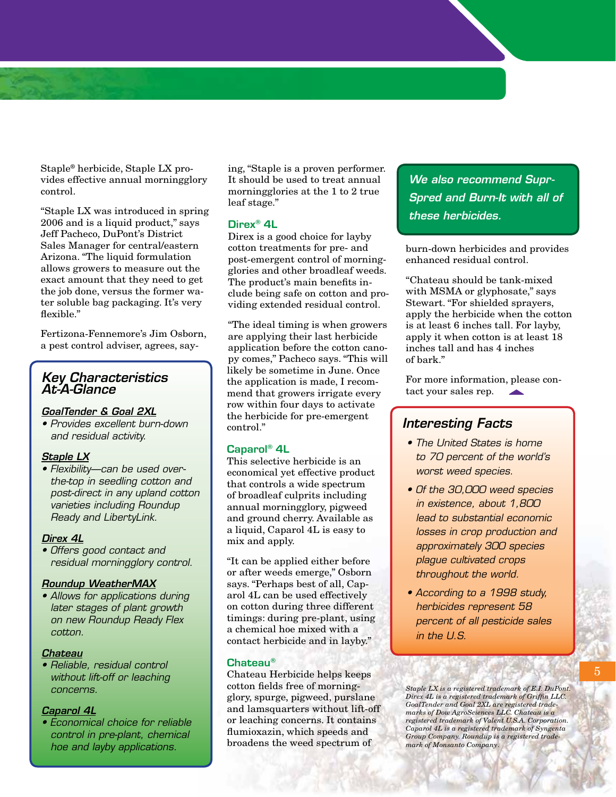Staple® herbicide, Staple LX provides effective annual morningglory control.

"Staple LX was introduced in spring 2006 and is a liquid product," says Jeff Pacheco, DuPont's District Sales Manager for central/eastern Arizona. "The liquid formulation allows growers to measure out the exact amount that they need to get the job done, versus the former water soluble bag packaging. It's very flexible."

Fertizona-Fennemore's Jim Osborn, a pest control adviser, agrees, say-

## *Key Characteristics At-A-Glance*

#### *GoalTender & Goal 2XL*

*• Provides excellent burn-down and residual activity.*

#### *Staple LX*

*• Flexibility—can be used overthe-top in seedling cotton and post-direct in any upland cotton varieties including Roundup Ready and LibertyLink.* 

#### *Direx 4L*

*• Offers good contact and residual morningglory control.*

#### *Roundup WeatherMAX*

*• Allows for applications during later stages of plant growth on new Roundup Ready Flex cotton.*

### *Chateau*

*• Reliable, residual control without lift-off or leaching concerns.*

#### *Caparol 4L*

*• Economical choice for reliable control in pre-plant, chemical hoe and layby applications.*

ing, "Staple is a proven performer. It should be used to treat annual morningglories at the 1 to 2 true leaf stage."

#### **Direx® 4L**

Direx is a good choice for layby cotton treatments for pre- and post-emergent control of morningglories and other broadleaf weeds. The product's main benefits include being safe on cotton and providing extended residual control.

"The ideal timing is when growers are applying their last herbicide application before the cotton canopy comes," Pacheco says. "This will likely be sometime in June. Once the application is made, I recommend that growers irrigate every row within four days to activate the herbicide for pre-emergent control."

#### **Caparol® 4L**

This selective herbicide is an economical yet effective product that controls a wide spectrum of broadleaf culprits including annual morningglory, pigweed and ground cherry. Available as a liquid, Caparol 4L is easy to mix and apply.

"It can be applied either before or after weeds emerge," Osborn says. "Perhaps best of all, Caparol 4L can be used effectively on cotton during three different timings: during pre-plant, using a chemical hoe mixed with a contact herbicide and in layby."

#### **Chateau®**

Chateau Herbicide helps keeps cotton fields free of morningglory, spurge, pigweed, purslane and lamsquarters without lift-off or leaching concerns. It contains flumioxazin, which speeds and broadens the weed spectrum of

*We also recommend Supr-Spred and Burn-It with all of these herbicides.*

burn-down herbicides and provides enhanced residual control.

"Chateau should be tank-mixed with MSMA or glyphosate," says Stewart. "For shielded sprayers, apply the herbicide when the cotton is at least 6 inches tall. For layby, apply it when cotton is at least 18 inches tall and has 4 inches of bark."

For more information, please contact your sales rep.

### *Interesting Facts*

- *The United States is home to 70 percent of the world's worst weed species.*
- *Of the 30,000 weed species in existence, about 1,800 lead to substantial economic losses in crop production and approximately 300 species plague cultivated crops throughout the world.*
- *According to a 1998 study, herbicides represent 58 percent of all pesticide sales in the U.S.*

*Staple LX is a registered trademark of E.I. DuPont. Direx 4L is a registered trademark of Griffin LLC. GoalTender and Goal 2XL are registered trade-marks of Dow AgroSciences LLC. Chateau is a registered trademark of Valent U.S.A. Corporation. Caparol 4L is a registered trademark of Syngenta Group Company. Roundup is a registered trademark of Monsanto Company*.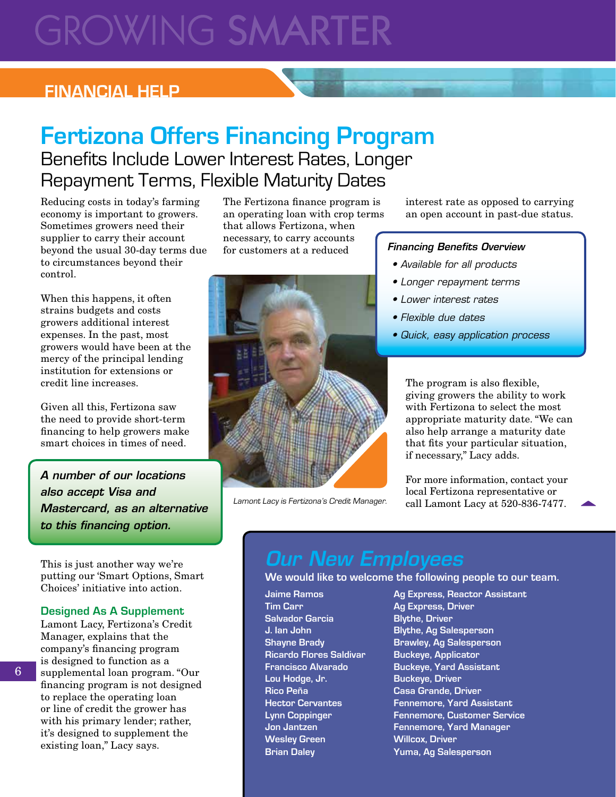# **GROWING SMARTER**

# **FINANCIAL HELP**

# **Fertizona Offers Financing Program** Benefits Include Lower Interest Rates, Longer Repayment Terms, Flexible Maturity Dates

Reducing costs in today's farming economy is important to growers. Sometimes growers need their supplier to carry their account beyond the usual 30-day terms due to circumstances beyond their control.

When this happens, it often strains budgets and costs growers additional interest expenses. In the past, most growers would have been at the mercy of the principal lending institution for extensions or credit line increases.

Given all this, Fertizona saw the need to provide short-term financing to help growers make smart choices in times of need.

*A number of our locations also accept Visa and Mastercard, as an alternative to this financing option.*

This is just another way we're putting our 'Smart Options, Smart Choices' initiative into action.

#### **Designed As A Supplement**

Lamont Lacy, Fertizona's Credit Manager, explains that the company's financing program is designed to function as a supplemental loan program. "Our financing program is not designed to replace the operating loan or line of credit the grower has with his primary lender; rather, it's designed to supplement the existing loan," Lacy says.

The Fertizona finance program is an operating loan with crop terms that allows Fertizona, when necessary, to carry accounts for customers at a reduced



Lamont Lacy is Fertizona's Credit Manager.

interest rate as opposed to carrying an open account in past-due status.

#### *Financing Benefits Overview*

- *Available for all products*
- *Longer repayment terms*
- *Lower interest rates*
- *Flexible due dates*
- *Quick, easy application process*

The program is also flexible, giving growers the ability to work with Fertizona to select the most appropriate maturity date. "We can also help arrange a maturity date that fits your particular situation, if necessary," Lacy adds.

For more information, contact your local Fertizona representative or call Lamont Lacy at 520-836-7477.

# *Our New Employees*

#### **We would like to welcome the following people to our team.**

- **Tim Carr Ag Express, Driver Salvador Garcia Blythe, Driver Ricardo Flores Saldivar Buckeye, Applicator Lou Hodge, Jr. Buckeye, Driver Rico Peña Casa Grande, Driver Wesley Green Willcox, Driver**
- **Jaime Ramos Ag Express, Reactor Assistant J. Ian John Blythe, Ag Salesperson Shayne Brady Brawley, Ag Salesperson Francisco Alvarado Buckeye, Yard Assistant Hector Cervantes Fennemore, Yard Assistant Lynn Coppinger Fennemore, Customer Service Jon Jantzen Fennemore, Yard Manager Brian Daley Yuma, Ag Salesperson**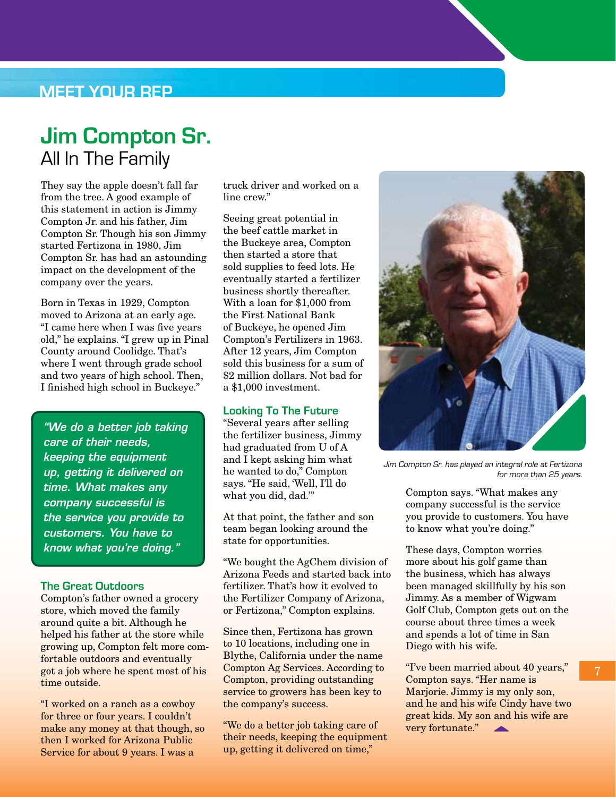## **MEET YOUR REP**

# **Jim Compton Sr.** All In The Family

They say the apple doesn't fall far from the tree. A good example of this statement in action is Jimmy Compton Jr. and his father, Jim Compton Sr. Though his son Jimmy started Fertizona in 1980, Jim Compton Sr. has had an astounding impact on the development of the company over the years.

Born in Texas in 1929, Compton moved to Arizona at an early age. "I came here when I was five years old," he explains. "I grew up in Pinal County around Coolidge. That's where I went through grade school and two years of high school. Then, I finished high school in Buckeye."

*"We do a better job taking care of their needs, keeping the equipment up, getting it delivered on time. What makes any company successful is the service you provide to customers. You have to know what you're doing."*

#### **The Great Outdoors**

Compton's father owned a grocery store, which moved the family around quite a bit. Although he helped his father at the store while growing up, Compton felt more comfortable outdoors and eventually got a job where he spent most of his time outside.

"I worked on a ranch as a cowboy for three or four years. I couldn't make any money at that though, so then I worked for Arizona Public Service for about 9 years. I was a

truck driver and worked on a line crew."

Seeing great potential in the beef cattle market in the Buckeye area, Compton then started a store that sold supplies to feed lots. He eventually started a fertilizer business shortly thereafter. With a loan for \$1,000 from the First National Bank of Buckeye, he opened Jim Compton's Fertilizers in 1963. After 12 years, Jim Compton sold this business for a sum of \$2 million dollars. Not bad for a \$1,000 investment.

#### **Looking To The Future**

"Several years after selling the fertilizer business, Jimmy had graduated from U of A and I kept asking him what he wanted to do," Compton says. "He said, 'Well, I'll do what you did, dad.'"

At that point, the father and son team began looking around the state for opportunities.

"We bought the AgChem division of Arizona Feeds and started back into fertilizer. That's how it evolved to the Fertilizer Company of Arizona, or Fertizona," Compton explains.

Since then, Fertizona has grown to 10 locations, including one in Blythe, California under the name Compton Ag Services. According to Compton, providing outstanding service to growers has been key to the company's success.

"We do a better job taking care of their needs, keeping the equipment up, getting it delivered on time,"



Jim Compton Sr. has played an integral role at Fertizona for more than 25 years.

Compton says. "What makes any company successful is the service you provide to customers. You have to know what you're doing."

These days, Compton worries more about his golf game than the business, which has always been managed skillfully by his son Jimmy. As a member of Wigwam Golf Club, Compton gets out on the course about three times a week and spends a lot of time in San Diego with his wife.

"I've been married about 40 years," Compton says. "Her name is Marjorie. Jimmy is my only son, and he and his wife Cindy have two great kids. My son and his wife are very fortunate."